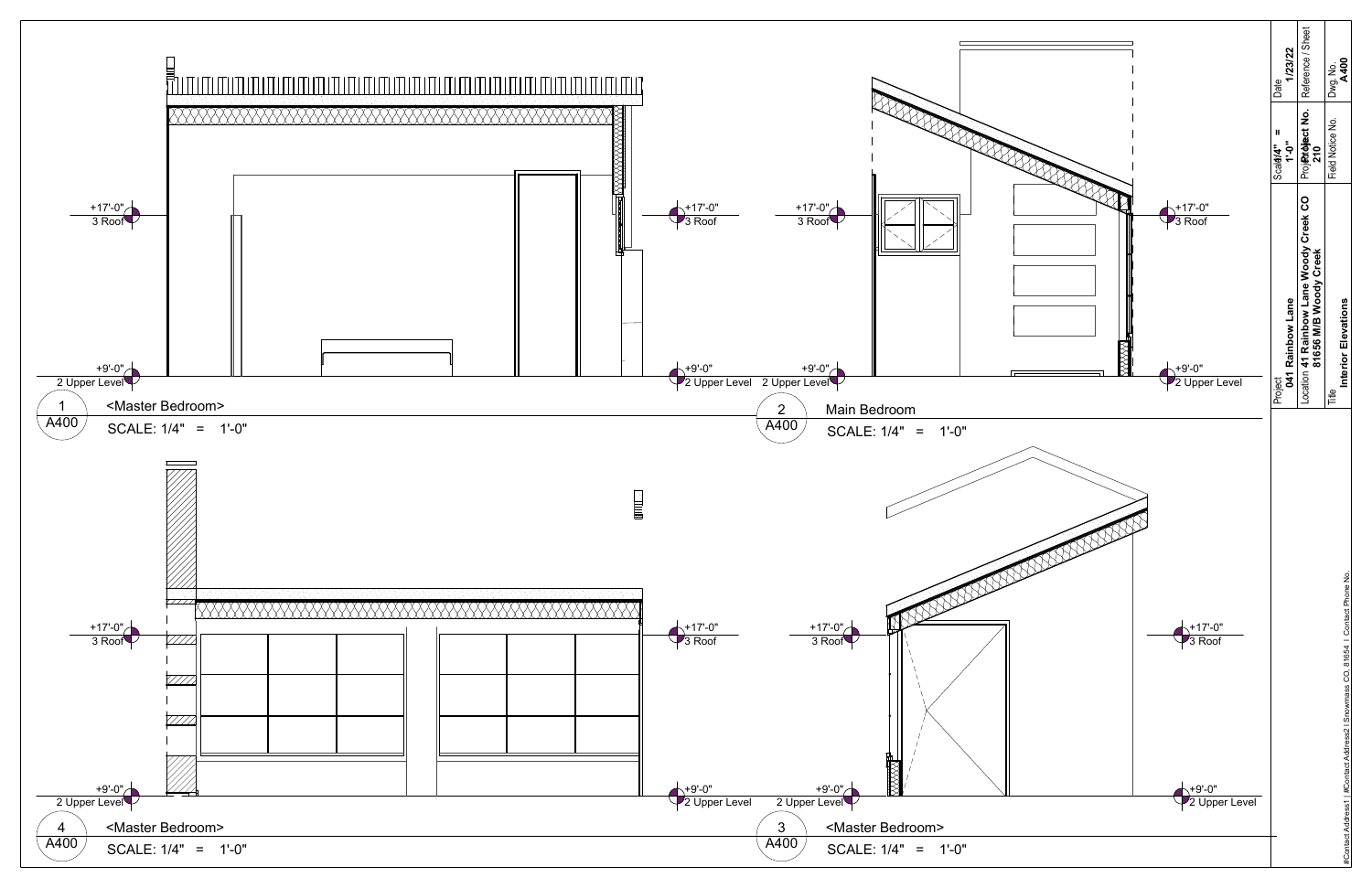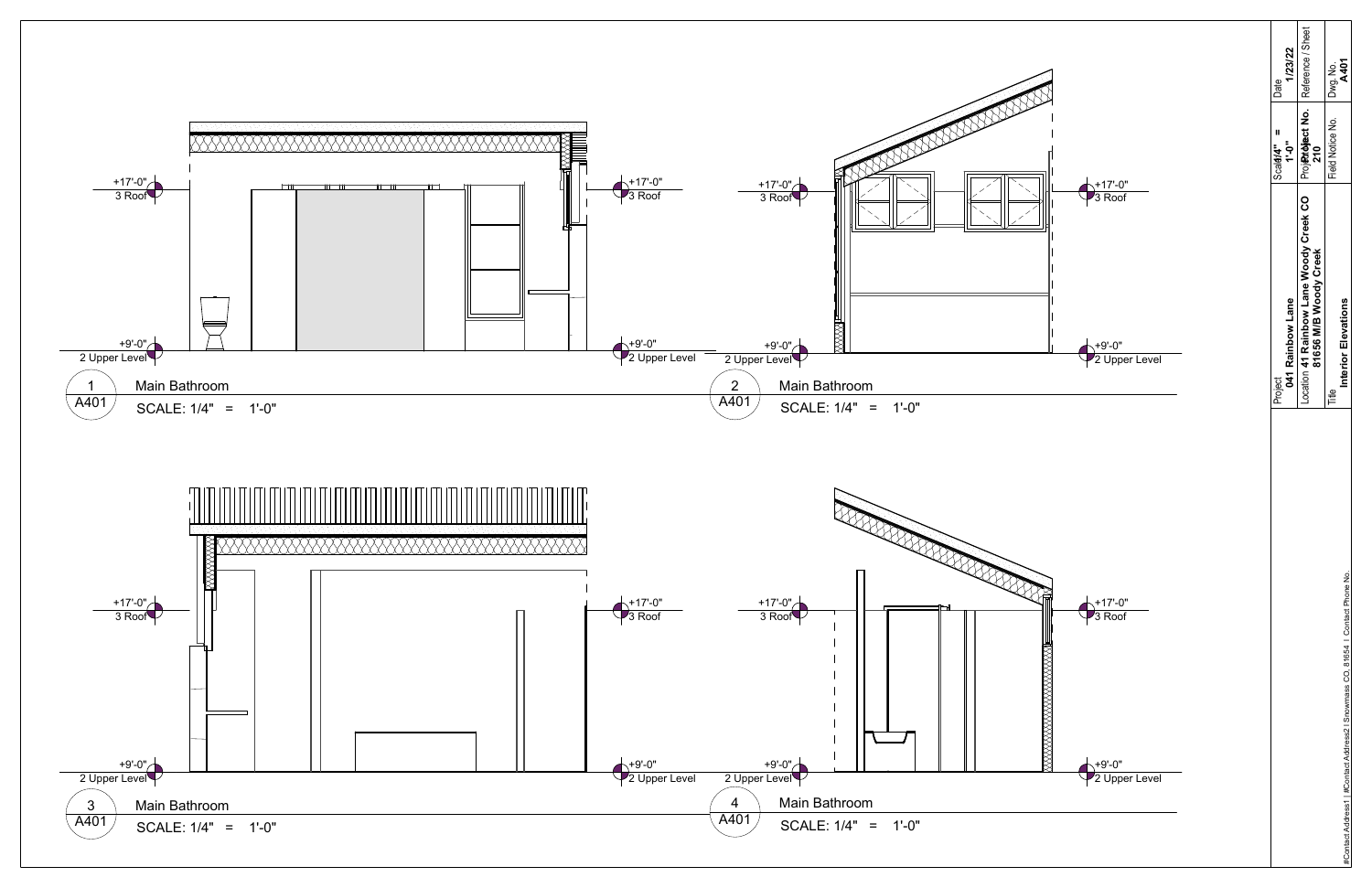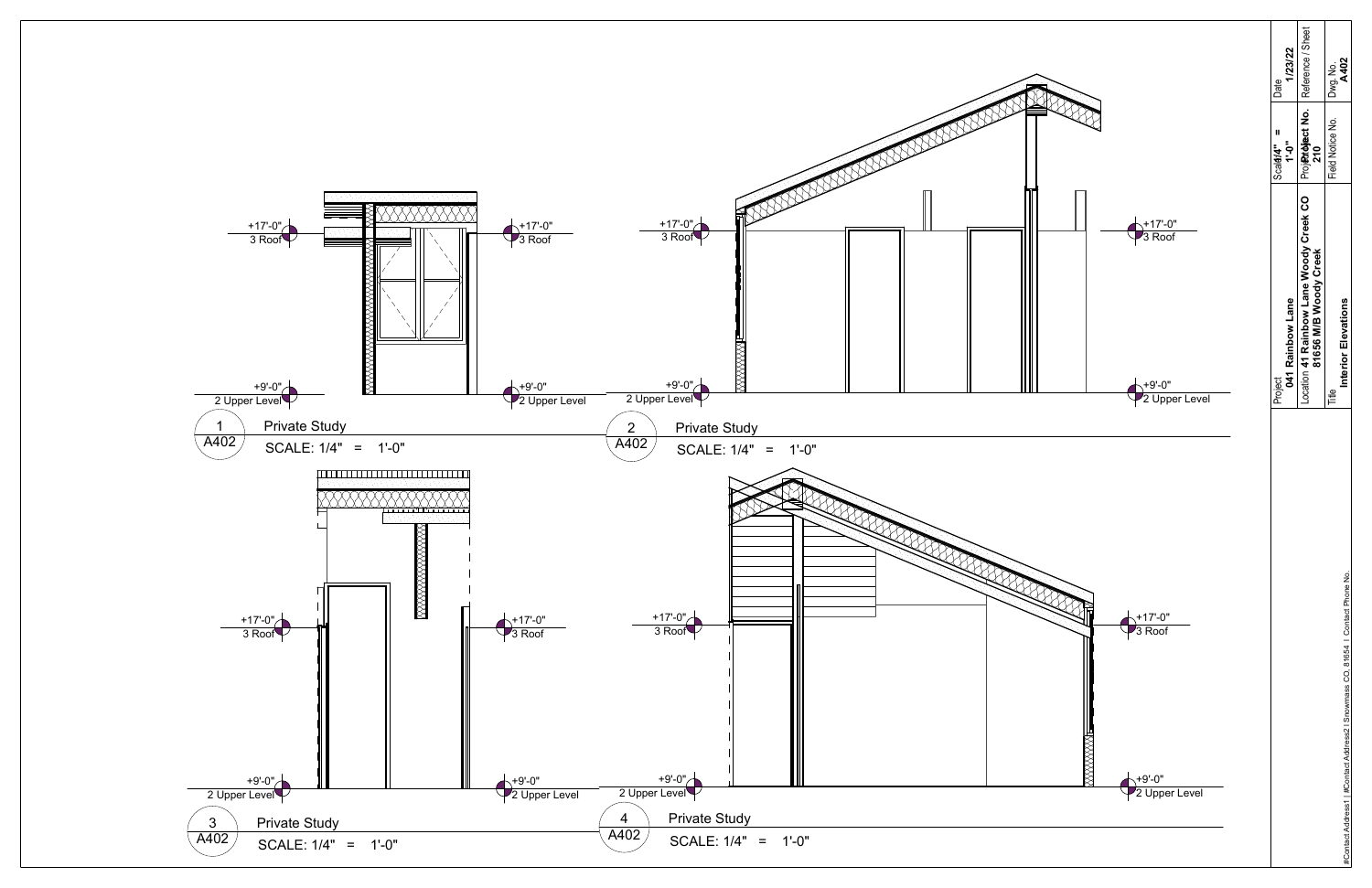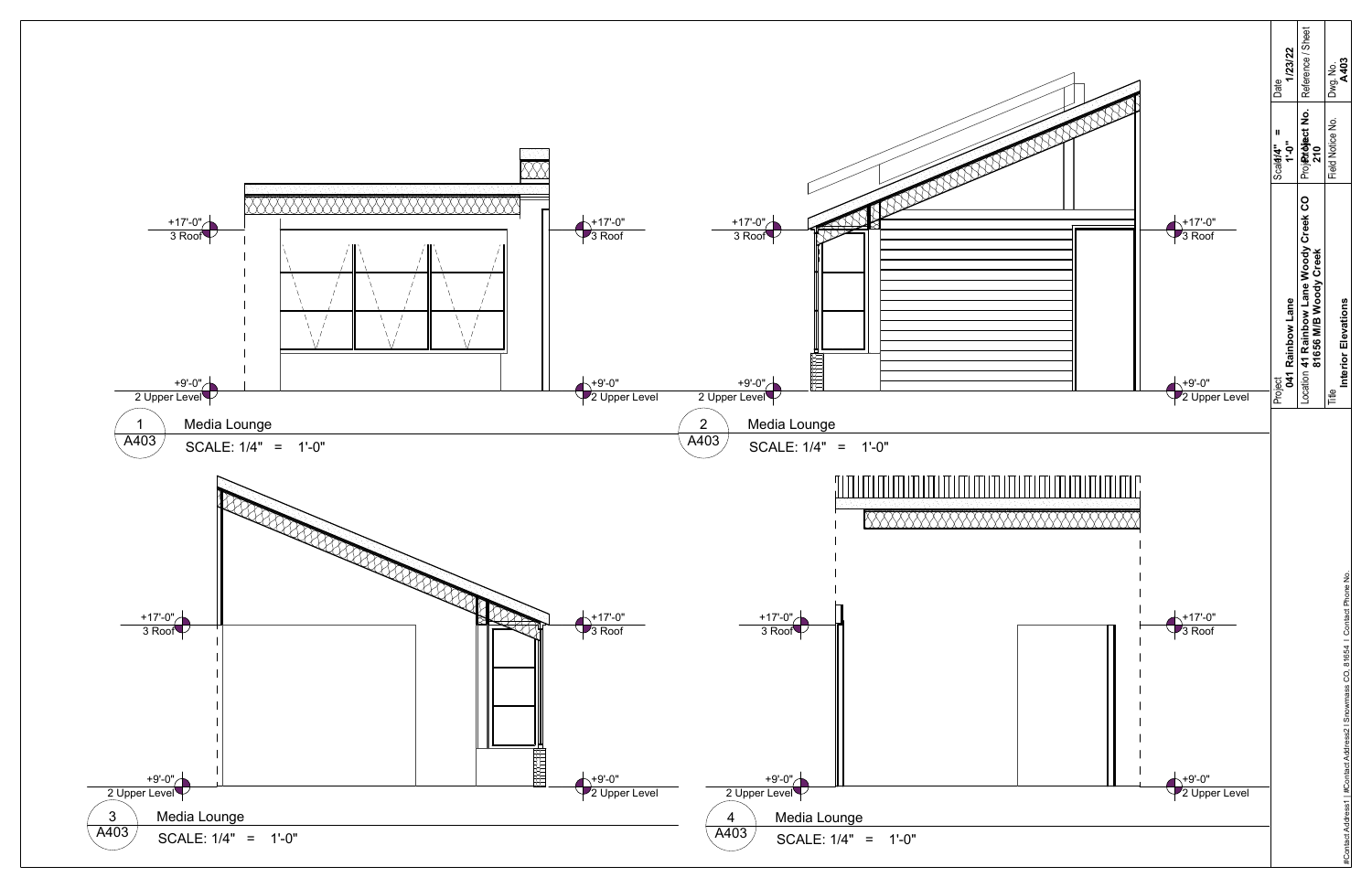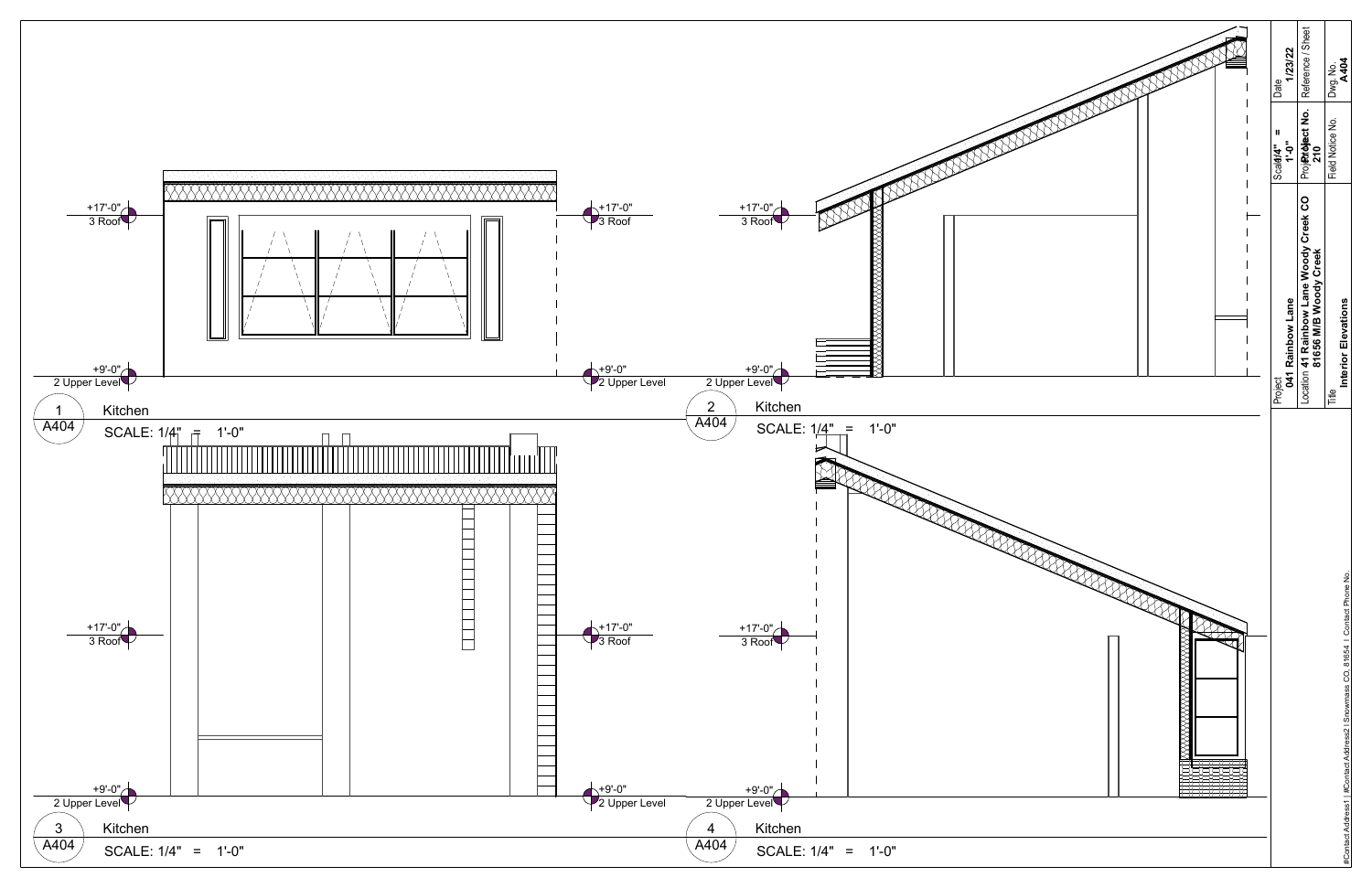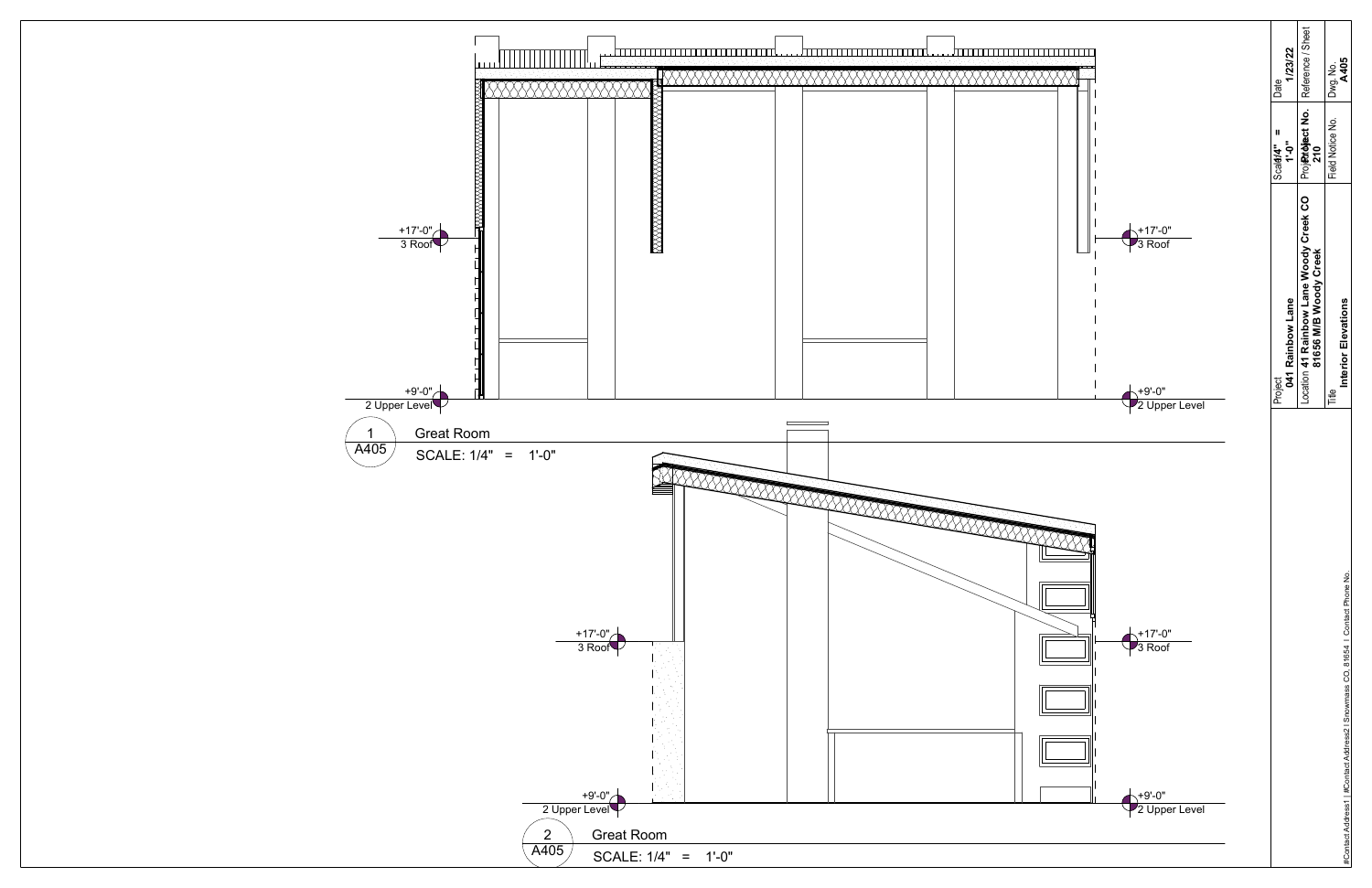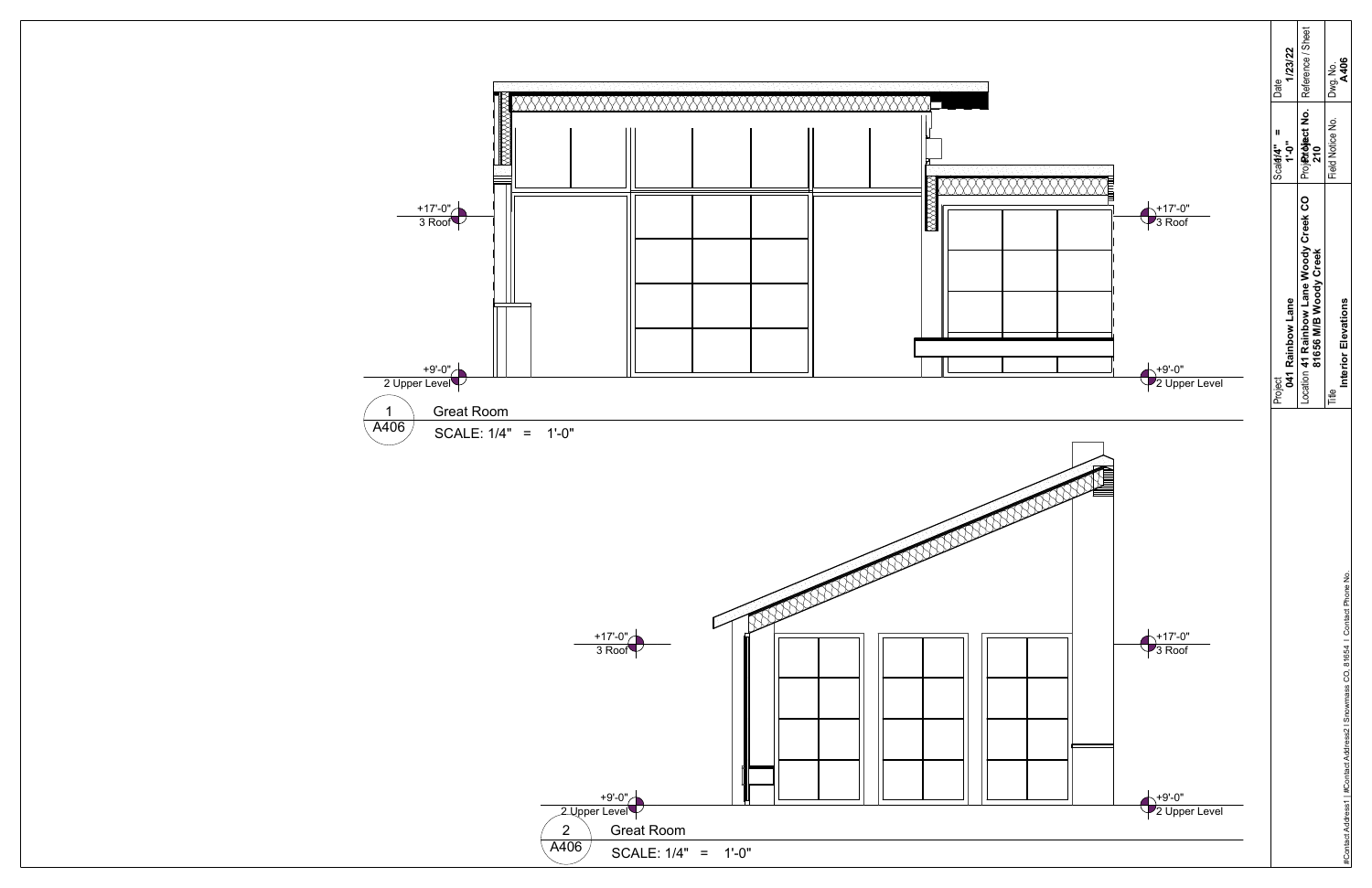